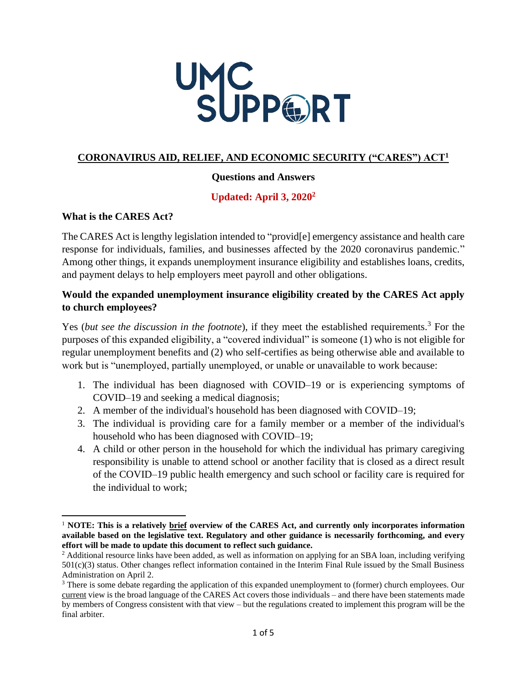

#### **CORONAVIRUS AID, RELIEF, AND ECONOMIC SECURITY ("CARES") ACT<sup>1</sup>**

#### **Questions and Answers**

# **Updated: April 3, 2020<sup>2</sup>**

#### **What is the CARES Act?**

The CARES Act is lengthy legislation intended to "provid[e] emergency assistance and health care response for individuals, families, and businesses affected by the 2020 coronavirus pandemic." Among other things, it expands unemployment insurance eligibility and establishes loans, credits, and payment delays to help employers meet payroll and other obligations.

### **Would the expanded unemployment insurance eligibility created by the CARES Act apply to church employees?**

Yes (*but see the discussion in the footnote*), if they meet the established requirements.<sup>3</sup> For the purposes of this expanded eligibility, a "covered individual" is someone (1) who is not eligible for regular unemployment benefits and (2) who self-certifies as being otherwise able and available to work but is "unemployed, partially unemployed, or unable or unavailable to work because:

- 1. The individual has been diagnosed with COVID–19 or is experiencing symptoms of COVID–19 and seeking a medical diagnosis;
- 2. A member of the individual's household has been diagnosed with COVID–19;
- 3. The individual is providing care for a family member or a member of the individual's household who has been diagnosed with COVID–19;
- 4. A child or other person in the household for which the individual has primary caregiving responsibility is unable to attend school or another facility that is closed as a direct result of the COVID–19 public health emergency and such school or facility care is required for the individual to work;

<sup>1</sup> **NOTE: This is a relatively brief overview of the CARES Act, and currently only incorporates information available based on the legislative text. Regulatory and other guidance is necessarily forthcoming, and every effort will be made to update this document to reflect such guidance.**

<sup>&</sup>lt;sup>2</sup> Additional resource links have been added, as well as information on applying for an SBA loan, including verifying 501(c)(3) status. Other changes reflect information contained in the Interim Final Rule issued by the Small Business Administration on April 2.

<sup>&</sup>lt;sup>3</sup> There is some debate regarding the application of this expanded unemployment to (former) church employees. Our current view is the broad language of the CARES Act covers those individuals – and there have been statements made by members of Congress consistent with that view – but the regulations created to implement this program will be the final arbiter.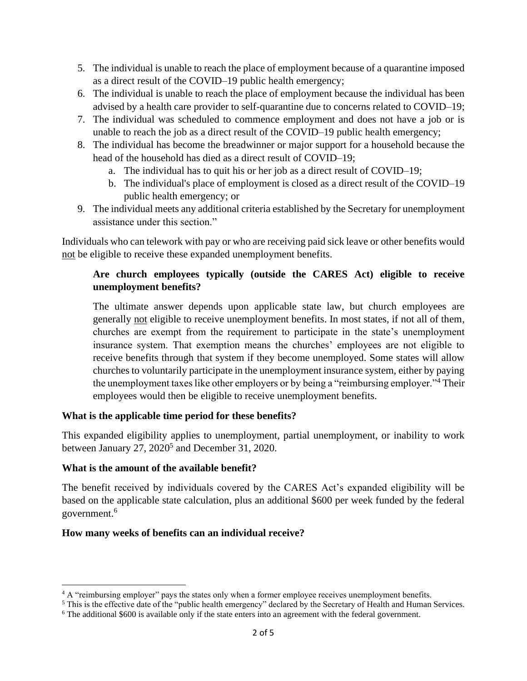- 5. The individual is unable to reach the place of employment because of a quarantine imposed as a direct result of the COVID–19 public health emergency;
- 6. The individual is unable to reach the place of employment because the individual has been advised by a health care provider to self-quarantine due to concerns related to COVID–19;
- 7. The individual was scheduled to commence employment and does not have a job or is unable to reach the job as a direct result of the COVID–19 public health emergency;
- 8. The individual has become the breadwinner or major support for a household because the head of the household has died as a direct result of COVID–19;
	- a. The individual has to quit his or her job as a direct result of COVID–19;
	- b. The individual's place of employment is closed as a direct result of the COVID–19 public health emergency; or
- 9. The individual meets any additional criteria established by the Secretary for unemployment assistance under this section."

Individuals who can telework with pay or who are receiving paid sick leave or other benefits would not be eligible to receive these expanded unemployment benefits.

## **Are church employees typically (outside the CARES Act) eligible to receive unemployment benefits?**

The ultimate answer depends upon applicable state law, but church employees are generally not eligible to receive unemployment benefits. In most states, if not all of them, churches are exempt from the requirement to participate in the state's unemployment insurance system. That exemption means the churches' employees are not eligible to receive benefits through that system if they become unemployed. Some states will allow churches to voluntarily participate in the unemployment insurance system, either by paying the unemployment taxes like other employers or by being a "reimbursing employer."<sup>4</sup> Their employees would then be eligible to receive unemployment benefits.

#### **What is the applicable time period for these benefits?**

This expanded eligibility applies to unemployment, partial unemployment, or inability to work between January  $27$ ,  $2020<sup>5</sup>$  and December 31, 2020.

#### **What is the amount of the available benefit?**

The benefit received by individuals covered by the CARES Act's expanded eligibility will be based on the applicable state calculation, plus an additional \$600 per week funded by the federal government.<sup>6</sup>

# **How many weeks of benefits can an individual receive?**

<sup>&</sup>lt;sup>4</sup> A "reimbursing employer" pays the states only when a former employee receives unemployment benefits.

<sup>&</sup>lt;sup>5</sup> This is the effective date of the "public health emergency" declared by the Secretary of Health and Human Services.

<sup>&</sup>lt;sup>6</sup> The additional \$600 is available only if the state enters into an agreement with the federal government.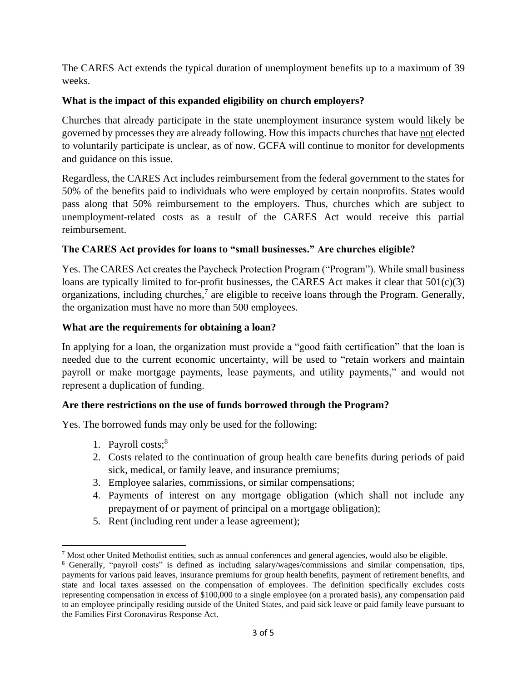The CARES Act extends the typical duration of unemployment benefits up to a maximum of 39 weeks.

## **What is the impact of this expanded eligibility on church employers?**

Churches that already participate in the state unemployment insurance system would likely be governed by processes they are already following. How this impacts churches that have not elected to voluntarily participate is unclear, as of now. GCFA will continue to monitor for developments and guidance on this issue.

Regardless, the CARES Act includes reimbursement from the federal government to the states for 50% of the benefits paid to individuals who were employed by certain nonprofits. States would pass along that 50% reimbursement to the employers. Thus, churches which are subject to unemployment-related costs as a result of the CARES Act would receive this partial reimbursement.

### **The CARES Act provides for loans to "small businesses." Are churches eligible?**

Yes. The CARES Act creates the Paycheck Protection Program ("Program"). While small business loans are typically limited to for-profit businesses, the CARES Act makes it clear that 501(c)(3) organizations, including churches,<sup>7</sup> are eligible to receive loans through the Program. Generally, the organization must have no more than 500 employees.

#### **What are the requirements for obtaining a loan?**

In applying for a loan, the organization must provide a "good faith certification" that the loan is needed due to the current economic uncertainty, will be used to "retain workers and maintain payroll or make mortgage payments, lease payments, and utility payments," and would not represent a duplication of funding.

#### **Are there restrictions on the use of funds borrowed through the Program?**

Yes. The borrowed funds may only be used for the following:

- 1. Payroll costs;<sup>8</sup>
- 2. Costs related to the continuation of group health care benefits during periods of paid sick, medical, or family leave, and insurance premiums;
- 3. Employee salaries, commissions, or similar compensations;
- 4. Payments of interest on any mortgage obligation (which shall not include any prepayment of or payment of principal on a mortgage obligation);
- 5. Rent (including rent under a lease agreement);

 $<sup>7</sup>$  Most other United Methodist entities, such as annual conferences and general agencies, would also be eligible.</sup>

<sup>8</sup> Generally, "payroll costs" is defined as including salary/wages/commissions and similar compensation, tips, payments for various paid leaves, insurance premiums for group health benefits, payment of retirement benefits, and state and local taxes assessed on the compensation of employees. The definition specifically excludes costs representing compensation in excess of \$100,000 to a single employee (on a prorated basis), any compensation paid to an employee principally residing outside of the United States, and paid sick leave or paid family leave pursuant to the Families First Coronavirus Response Act.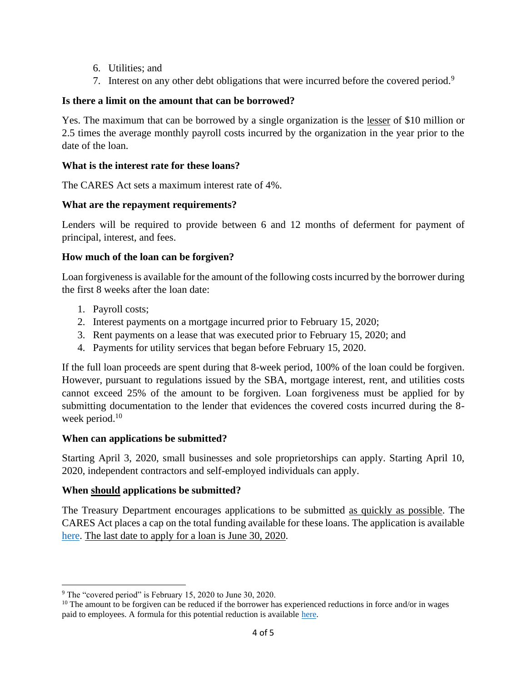- 6. Utilities; and
- 7. Interest on any other debt obligations that were incurred before the covered period.<sup>9</sup>

# **Is there a limit on the amount that can be borrowed?**

Yes. The maximum that can be borrowed by a single organization is the lesser of \$10 million or 2.5 times the average monthly payroll costs incurred by the organization in the year prior to the date of the loan.

## **What is the interest rate for these loans?**

The CARES Act sets a maximum interest rate of 4%.

# **What are the repayment requirements?**

Lenders will be required to provide between 6 and 12 months of deferment for payment of principal, interest, and fees.

# **How much of the loan can be forgiven?**

Loan forgiveness is available for the amount of the following costs incurred by the borrower during the first 8 weeks after the loan date:

- 1. Payroll costs;
- 2. Interest payments on a mortgage incurred prior to February 15, 2020;
- 3. Rent payments on a lease that was executed prior to February 15, 2020; and
- 4. Payments for utility services that began before February 15, 2020.

If the full loan proceeds are spent during that 8-week period, 100% of the loan could be forgiven. However, pursuant to regulations issued by the SBA, mortgage interest, rent, and utilities costs cannot exceed 25% of the amount to be forgiven. Loan forgiveness must be applied for by submitting documentation to the lender that evidences the covered costs incurred during the 8 week period.<sup>10</sup>

# **When can applications be submitted?**

Starting April 3, 2020, small businesses and sole proprietorships can apply. Starting April 10, 2020, independent contractors and self-employed individuals can apply.

# **When should applications be submitted?**

The Treasury Department encourages applications to be submitted as quickly as possible. The CARES Act places a cap on the total funding available for these loans. The application is available [here.](https://home.treasury.gov/policy-issues/top-priorities/cares-act/assistance-for-small-businesses) The last date to apply for a loan is June 30, 2020.

<sup>&</sup>lt;sup>9</sup> The "covered period" is February 15, 2020 to June 30, 2020.

 $10$  The amount to be forgiven can be reduced if the borrower has experienced reductions in force and/or in wages paid to employees. A formula for this potential reduction is available [here.](https://www.natlawreview.com/article/inside-cares-act-covid-19-loan-forgiveness-relief-section-1106-primer)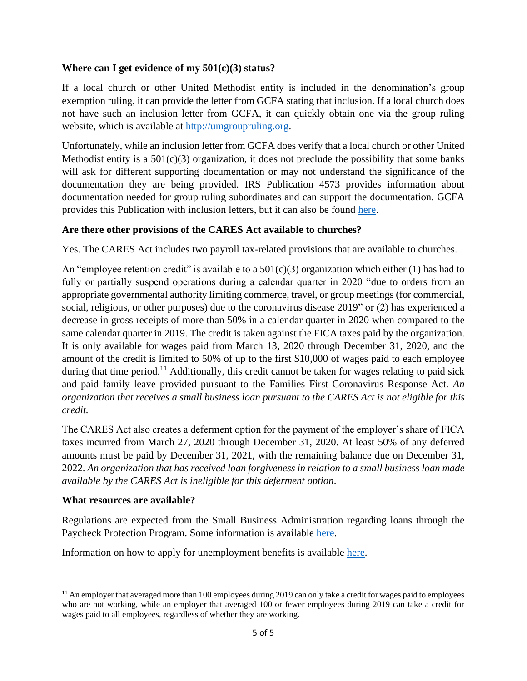#### **Where can I get evidence of my 501(c)(3) status?**

If a local church or other United Methodist entity is included in the denomination's group exemption ruling, it can provide the letter from GCFA stating that inclusion. If a local church does not have such an inclusion letter from GCFA, it can quickly obtain one via the group ruling website, which is available at [http://umgroupruling.org.](http://umgroupruling.org/)

Unfortunately, while an inclusion letter from GCFA does verify that a local church or other United Methodist entity is a  $501(c)(3)$  organization, it does not preclude the possibility that some banks will ask for different supporting documentation or may not understand the significance of the documentation they are being provided. IRS Publication 4573 provides information about documentation needed for group ruling subordinates and can support the documentation. GCFA provides this Publication with inclusion letters, but it can also be found [here.](https://www.irs.gov/charities-non-profits/group-exemption-resources)

### **Are there other provisions of the CARES Act available to churches?**

Yes. The CARES Act includes two payroll tax-related provisions that are available to churches.

An "employee retention credit" is available to a  $501(c)(3)$  organization which either (1) has had to fully or partially suspend operations during a calendar quarter in 2020 "due to orders from an appropriate governmental authority limiting commerce, travel, or group meetings (for commercial, social, religious, or other purposes) due to the coronavirus disease 2019" or (2) has experienced a decrease in gross receipts of more than 50% in a calendar quarter in 2020 when compared to the same calendar quarter in 2019. The credit is taken against the FICA taxes paid by the organization. It is only available for wages paid from March 13, 2020 through December 31, 2020, and the amount of the credit is limited to 50% of up to the first \$10,000 of wages paid to each employee during that time period.<sup>11</sup> Additionally, this credit cannot be taken for wages relating to paid sick and paid family leave provided pursuant to the Families First Coronavirus Response Act. *An organization that receives a small business loan pursuant to the CARES Act is not eligible for this credit.*

The CARES Act also creates a deferment option for the payment of the employer's share of FICA taxes incurred from March 27, 2020 through December 31, 2020. At least 50% of any deferred amounts must be paid by December 31, 2021, with the remaining balance due on December 31, 2022. *An organization that has received loan forgiveness in relation to a small business loan made available by the CARES Act is ineligible for this deferment option*.

#### **What resources are available?**

Regulations are expected from the Small Business Administration regarding loans through the Paycheck Protection Program. Some information is available [here.](https://home.treasury.gov/policy-issues/top-priorities/cares-act/assistance-for-small-businesses)

Information on how to apply for unemployment benefits is available [here.](https://www.careeronestop.org/WorkerReEmployment/UnemploymentBenefits/unemployment-benefits.aspx)

<sup>&</sup>lt;sup>11</sup> An employer that averaged more than 100 employees during 2019 can only take a credit for wages paid to employees who are not working, while an employer that averaged 100 or fewer employees during 2019 can take a credit for wages paid to all employees, regardless of whether they are working.